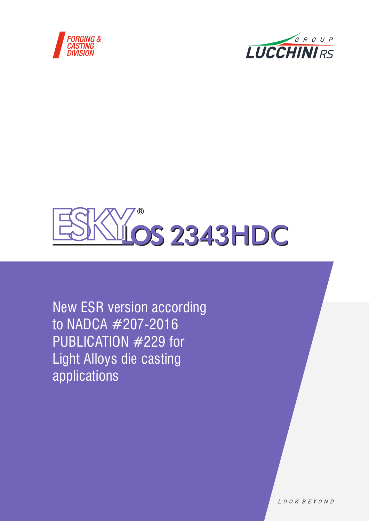





New ESR version according to NADCA #207-2016 PUBLICATION #229 for Light Alloys die casting applications

LOOK BEYOND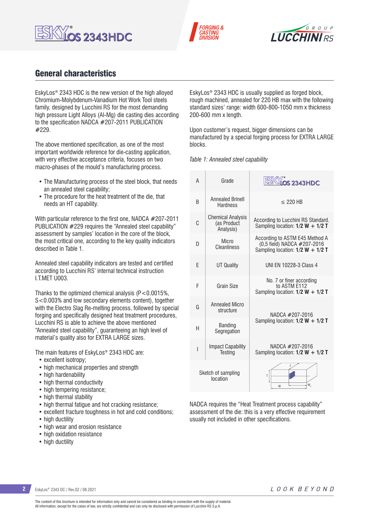





### General characteristics

EskyLos® 2343 HDC is the new version of the high alloyed Chromium-Molybdenum-Vanadium Hot Work Tool steels family, designed by Lucchini RS for the most demanding high pressure Light Alloys (Al-Mg) die casting dies according to the specification NADCA #207-2011 PUBLICATION #229.

The above mentioned specification, as one of the most important worldwide reference for die-casting application, with very effective acceptance criteria, focuses on two macro-phases of the mould's manufacturing process.

- The Manufacturing process of the steel block, that needs an annealed steel capability;
- The procedure for the heat treatment of the die, that needs an HT capability.

With particular reference to the first one, NADCA #207-2011 PUBLICATION #229 requires the "Annealed steel capability" assessment by samples' location in the core of the block, the most critical one, according to the key quality indicators described in Table 1.

Annealed steel capability indicators are tested and certified according to Lucchini RS' internal technical instruction I.T.MET U003.

Thanks to the optimized chemical analysis ( $P < 0.0015\%$ , S<0.003% and low secondary elements content), together with the Electro Slag Re-melting process, followed by special forging and specifically designed heat treatment procedures, Lucchini RS is able to achieve the above mentioned "Annealed steel capability", guaranteeing an high level of material's quality also for EXTRA LARGE sizes.

The main features of EskyLos® 2343 HDC are:

- excellent isotropy;
- high mechanical properties and strength
- high hardenability
- high thermal conductivity
- high tempering resistance;
- high thermal stability
- high thermal fatique and hot cracking resistance:
- excellent fracture toughness in hot and cold conditions; • high ductility
- high wear and erosion resistance
- high oxidation resistance
- high ductility

EskyLos® 2343 HDC is usually supplied as forged block, rough machined, annealed for 220 HB max with the following standard sizes' range: width 600-800-1050 mm x thickness 200-600 mm x length.

Upon customer's request, bigger dimensions can be manufactured by a special forging process for EXTRA LARGE blocks.

#### *Table 1: Annealed steel capability*

| A                              | Grade                                                | <b>ESKVIOS 2343HDC</b>                                                                                |  |  |
|--------------------------------|------------------------------------------------------|-------------------------------------------------------------------------------------------------------|--|--|
| B                              | <b>Annealed Brinell</b><br><b>Hardness</b>           | $<$ 220 HB                                                                                            |  |  |
| C                              | <b>Chemical Analysis</b><br>(as Product<br>Analysis) | According to Lucchini RS Standard.<br>Sampling location: $1/2$ W + $1/2$ T                            |  |  |
| D                              | Micro<br><b>Cleanliness</b>                          | According to ASTM E45 Method A<br>(0,5 field) NADCA #207-2016<br>Sampling location: $1/2$ W + $1/2$ T |  |  |
| F                              | <b>UT Quality</b>                                    | UNI FN 10228-3 Class 4                                                                                |  |  |
| F                              | Grain Size                                           | No. 7 or finer according<br>to ASTM F112<br>Sampling location: $1/2$ W + $1/2$ T                      |  |  |
| G                              | <b>Annealed Micro</b><br>structure                   | NADCA #207-2016                                                                                       |  |  |
| Н                              | <b>Banding</b><br>Segregation                        | Sampling location: $1/2$ W + $1/2$ T                                                                  |  |  |
| Ī                              | <b>Impact Capability</b><br>Testing                  | NADCA #207-2016<br>Sampling location: $1/2$ W + $1/2$ T                                               |  |  |
| Sketch of sampling<br>location |                                                      | T<br>W,<br>W                                                                                          |  |  |

NADCA requires the "Heat Treatment process capability" assessment of the die: this is a very effective requirement usually not included in other specifications.

**2** EskyLos® 2343 DC / Rev.02 / 08.2021

The content of this brochure is intended for information only and cannot be considered as binding in connection with the supply of material. All information, except for the cases of law, are strictly confidential and can only be disclosed with permission of Lucchini RS S.p.A.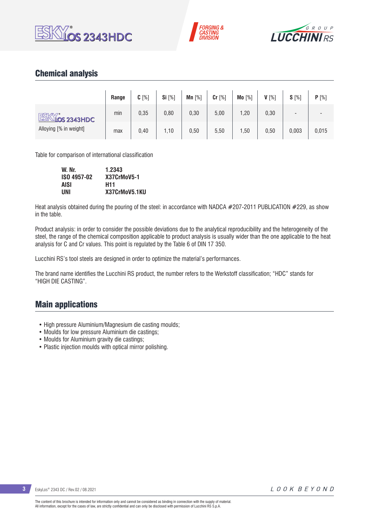





## Chemical analysis

|                                     | Range | $C[\%]$ | Si [%] | Mn $[%]$ | $Cr$ [%] | Mo [%] | $V[\%]$ | $S[\%]$                  | P[%]  |
|-------------------------------------|-------|---------|--------|----------|----------|--------|---------|--------------------------|-------|
| ESKY.<br><b><u>MIOS 2343HDC</u></b> | min   | 0,35    | 0,80   | 0,30     | 5,00     | 1,20   | 0,30    | $\overline{\phantom{0}}$ |       |
| Alloying [% in weight]              | max   | 0,40    | ,10    | 0,50     | 5,50     | ,50    | 0,50    | 0,003                    | 0,015 |

Table for comparison of international classification

| W.Nr.       | 1.2343        |
|-------------|---------------|
| ISO 4957-02 | X37CrMoV5-1   |
| <b>AISI</b> | H11           |
| UNI         | X37CrMoV5.1KU |

Heat analysis obtained during the pouring of the steel: in accordance with NADCA #207-2011 PUBLICATION #229, as show in the table.

Product analysis: in order to consider the possible deviations due to the analytical reproducibility and the heterogeneity of the steel, the range of the chemical composition applicable to product analysis is usually wider than the one applicable to the heat analysis for C and Cr values. This point is regulated by the Table 6 of DIN 17 350.

Lucchini RS's tool steels are designed in order to optimize the material's performances.

The brand name identifies the Lucchini RS product, the number refers to the Werkstoff classification; "HDC" stands for "HIGH DIE CASTING".

### Main applications

- High pressure Aluminium/Magnesium die casting moulds;
- Moulds for low pressure Aluminium die castings;
- Moulds for Aluminium gravity die castings;
- Plastic injection moulds with optical mirror polishing.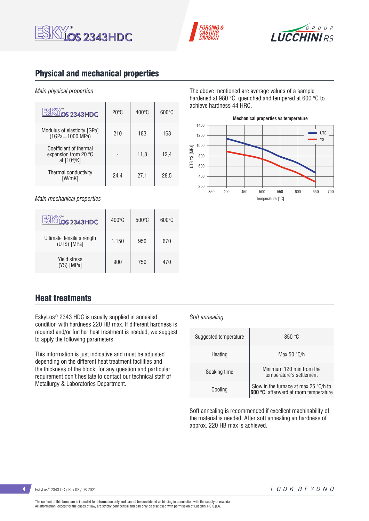





### Physical and mechanical properties

#### *Main physical properties*

| <b>LOS 2343HDC</b>                                            | $20^{\circ}$ C | $400^{\circ}$ C | $600\degree$ C |
|---------------------------------------------------------------|----------------|-----------------|----------------|
| Modulus of elasticity [GPa]<br>$(1GPa = 1000 MPa)$            | 210            | 183             | 168            |
| Coefficient of thermal<br>expansion from 20 °C<br>at [10-6/K] |                | 11,8            | 12,4           |
| Thermal conductivity<br> W/mK                                 | 24,4           | 27,1            | 28,5           |

*Main mechanical properties*

| <b>OS 2343HDC</b>                        | $400^{\circ}$ C | $500^{\circ}$ C | $600\degree$ C |
|------------------------------------------|-----------------|-----------------|----------------|
| Ultimate Tensile strength<br>(UTS) [MPa] | 1.150           | 950             | 670            |
| <b>Yield stress</b><br>(YS) [MPa]        | 900             | 750             | 470            |

The above mentioned are average values of a sample hardened at 980 °C, quenched and tempered at 600 °C to achieve hardness 44 HRC.



### Heat treatments

EskyLos® 2343 HDC is usually supplied in annealed condition with hardness 220 HB max. If different hardness is required and/or further heat treatment is needed, we suggest to apply the following parameters.

This information is just indicative and must be adjusted depending on the different heat treatment facilities and the thickness of the block: for any question and particular requirement don't hesitate to contact our technical staff of Metallurgy & Laboratories Department.

#### *Soft annealing*

| Suggested temperature | 850 °C                                                                                  |
|-----------------------|-----------------------------------------------------------------------------------------|
| Heating               | Max 50 $\degree$ C/h                                                                    |
| Soaking time          | Minimum 120 min from the<br>temperature's settlement                                    |
| Cooling               | Slow in the furnace at max 25 $\degree$ C/h to<br>600 °C, afterward at room temperature |

Soft annealing is recommended if excellent machinability of the material is needed. After soft annealing an hardness of approx. 220 HB max is achieved.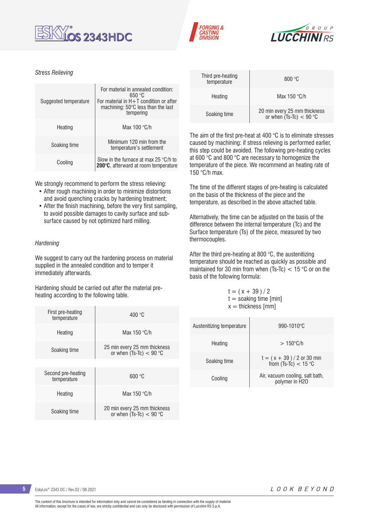





#### *Stress Relieving*

| Suggested temperature | For material in annealed condition:<br>650 °C<br>For material in $H + T$ condition or after<br>machining: $50^{\circ}$ C less than the last<br>tempering |
|-----------------------|----------------------------------------------------------------------------------------------------------------------------------------------------------|
| Heating               | Max $100 °C/h$                                                                                                                                           |
| Soaking time          | Minimum 120 min from the<br>temperature's settlement                                                                                                     |
| Cooling               | Slow in the furnace at max 25 $\degree$ C/h to<br>200°C, afterward at room temperature                                                                   |

We strongly recommend to perform the stress relieving:

- After rough machining in order to minimize distortions and avoid quenching cracks by hardening treatment;
- After the finish machining, before the very first sampling, to avoid possible damages to cavity surface and subsurface caused by not optimized hard milling.

#### *Hardening*

We suggest to carry out the hardening process on material supplied in the annealed condition and to temper it immediately afterwards.

Hardening should be carried out after the material preheating according to the following table.

| First pre-heating<br>temperature  | 400 °C                                                    |  |  |
|-----------------------------------|-----------------------------------------------------------|--|--|
| Heating                           | Max $150 °C/h$                                            |  |  |
| Soaking time                      | 25 min every 25 mm thickness<br>or when $(Ts-TC) < 90$ °C |  |  |
|                                   |                                                           |  |  |
| Second pre-heating<br>temperature | 600 °C                                                    |  |  |
| Heating                           | Max $150 °C/h$                                            |  |  |
| Soaking time                      | 20 min every 25 mm thickness<br>or when $(Ts-TC) < 90$ °C |  |  |

| Third pre-heating<br>temperature | 800 °C                                                    |  |
|----------------------------------|-----------------------------------------------------------|--|
| Heating                          | Max $150 °C/h$                                            |  |
| Soaking time                     | 20 min every 25 mm thickness<br>or when $(Ts-TC) < 90 °C$ |  |

The aim of the first pre-heat at 400 °C is to eliminate stresses caused by machining: if stress relieving is performed earlier, this step could be avoided. The following pre-heating cycles at 600 °C and 800 °C are necessary to homogenize the temperature of the piece. We recommend an heating rate of 150 °C/h max.

The time of the different stages of pre-heating is calculated on the basis of the thickness of the piece and the temperature, as described in the above attached table.

Alternatively, the time can be adjusted on the basis of the difference between the internal temperature (Tc) and the Surface temperature (Ts) of the piece, measured by two thermocouples.

After the third pre-heating at 800 °C, the austenitizing temperature should be reached as quickly as possible and maintained for 30 min from when (Ts-Tc)  $<$  15 °C or on the basis of the following formula:

 $t = (x + 39)/2$  $t =$  soaking time [min]  $x =$  thickness [mm]

| Austenitizing temperature | 990-1010°C                                           |
|---------------------------|------------------------------------------------------|
| Heating                   | $>150^{\circ}$ C/h                                   |
| Soaking time              | $t = (x + 39) / 2$ or 30 min<br>from (Ts-Tc) < 15 °C |
| Cooling                   | Air, vacuum cooling, salt bath,<br>polymer in H2O    |

**5** EskyLos® 2343 DC / Rev.02 / 08.2021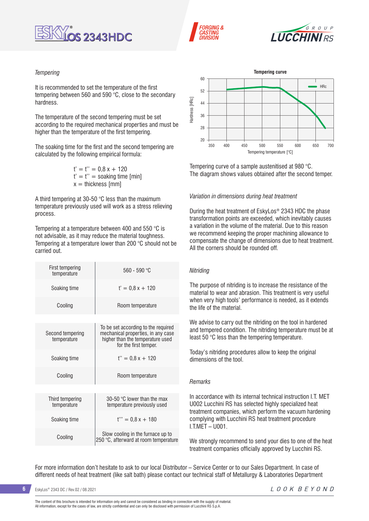





#### *Tempering*

It is recommended to set the temperature of the first tempering between 560 and 590 °C, close to the secondary hardness.

The temperature of the second tempering must be set according to the required mechanical properties and must be higher than the temperature of the first tempering.

The soaking time for the first and the second tempering are calculated by the following empirical formula:

> $t' = t'' = 0.8 x + 120$  $t' = t'' =$  soaking time [min]  $x =$  thickness [mm]

A third tempering at 30-50 °C less than the maximum temperature previously used will work as a stress relieving process.

Tempering at a temperature between 400 and 550 °C is not advisable, as it may reduce the material toughness. Tempering at a temperature lower than 200 °C should not be carried out.

| First tempering<br>temperature  | 560 - 590 °C                                                                                                                           |
|---------------------------------|----------------------------------------------------------------------------------------------------------------------------------------|
| Soaking time                    | $t' = 0.8x + 120$                                                                                                                      |
| Cooling                         | Room temperature                                                                                                                       |
|                                 |                                                                                                                                        |
| Second tempering<br>temperature | To be set according to the required<br>mechanical properties, in any case<br>higher than the temperature used<br>for the first temper. |
| Soaking time                    | $t'' = 0.8x + 120$                                                                                                                     |
| Cooling                         | Room temperature                                                                                                                       |
|                                 |                                                                                                                                        |
| Third tempering<br>temperature  | 30-50 $\degree$ C lower than the max<br>temperature previously used                                                                    |
| Soaking time                    | $t''' = 0.8x + 180$                                                                                                                    |
| Cooling                         | Slow cooling in the furnace up to<br>250 °C, afterward at room temperature                                                             |
|                                 |                                                                                                                                        |



Tempering curve of a sample austenitised at 980 °C. The diagram shows values obtained after the second temper.

#### *Variation in dimensions during heat treatment*

During the heat treatment of EskyLos® 2343 HDC the phase transformation points are exceeded, which inevitably causes a variation in the volume of the material. Due to this reason we recommend keeping the proper machining allowance to compensate the change of dimensions due to heat treatment. All the corners should be rounded off.

#### *Nitriding*

The purpose of nitriding is to increase the resistance of the material to wear and abrasion. This treatment is very useful when very high tools' performance is needed, as it extends the life of the material.

We advise to carry out the nitriding on the tool in hardened and tempered condition. The nitriding temperature must be at least 50 °C less than the tempering temperature.

Today's nitriding procedures allow to keep the original dimensions of the tool.

#### *Remarks*

In accordance with its internal technical instruction I.T. MET U002 Lucchini RS has selected highly specialized heat treatment companies, which perform the vacuum hardening complying with Lucchini RS heat treatment procedure I.T.MET – U001.

We strongly recommend to send your dies to one of the heat treatment companies officially approved by Lucchini RS.

For more information don't hesitate to ask to our local Distributor – Service Center or to our Sales Department. In case of different needs of heat treatment (like salt bath) please contact our technical staff of Metallurgy & Laboratories Department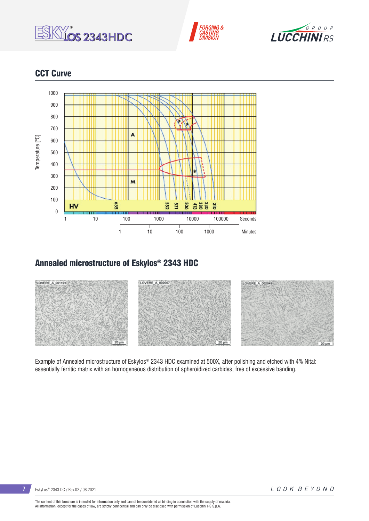





## CCT Curve



# Annealed microstructure of Eskylos® 2343 HDC



Example of Annealed microstructure of Eskylos® 2343 HDC examined at 500X, after polishing and etched with 4% Nital: essentially ferritic matrix with an homogeneous distribution of spheroidized carbides, free of excessive banding.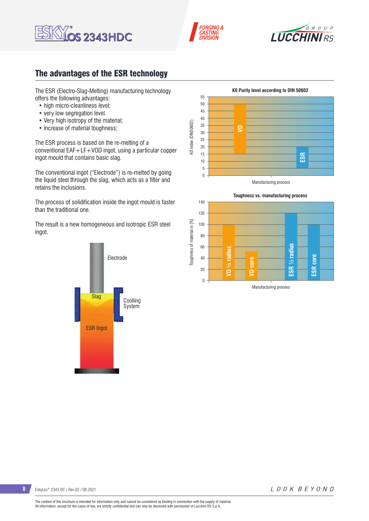





## The advantages of the ESR technology

The ESR (Electro-Slag-Melting) manufacturing technology offers the following advantages:

- high micro-cleanliness level:
- very low segregation level.
- Very high isotropy of the material;
- increase of material toughness;

The ESR process is based on the re-melting of a conventional EAF+LF+VOD ingot, using a particular copper ingot mould that contains basic slag.

The conventional ingot ("Electrode") is re-melted by going the liquid steel through the slag, which acts as a filter and retains the inclusions.

The process of solidification inside the ingot mould is faster than the traditional one.

The result is a new homogeneous and isotropic ESR steel ingot.







Manufacturing process

**8** EskyLos® 2343 DC / Rev.02 / 08.2021

LOOK BEYOND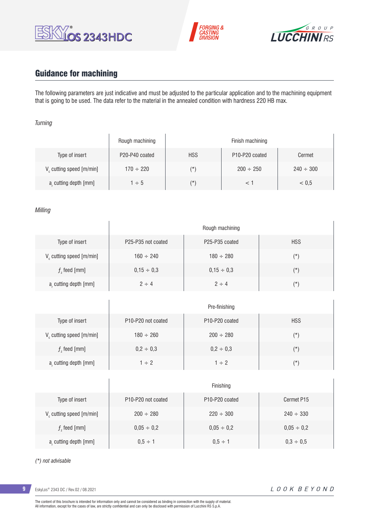





# Guidance for machining

 $\overline{1}$ 

 $\overline{1}$ 

The following parameters are just indicative and must be adjusted to the particular application and to the machining equipment that is going to be used. The data refer to the material in the annealed condition with hardness 220 HB max.

#### *Turning*

|                                      | Rough machining |            | Finish machining                        |                |
|--------------------------------------|-----------------|------------|-----------------------------------------|----------------|
| Type of insert                       | P20-P40 coated  | <b>HSS</b> | P <sub>10</sub> -P <sub>20</sub> coated | Cermet         |
| V <sub>c</sub> cutting speed [m/min] | $170 \div 220$  | $(\star)$  | $200 \div 250$                          | $240 \div 300$ |
| a, cutting depth [mm]                | $1 \div 5$      | (*)        |                                         | < 0.5          |

#### *Milling*

|                                      | Rough machining                             |                                         |            |  |  |  |
|--------------------------------------|---------------------------------------------|-----------------------------------------|------------|--|--|--|
| Type of insert                       | P <sub>25</sub> -P <sub>35</sub> not coated | P <sub>25</sub> -P <sub>35</sub> coated | <b>HSS</b> |  |  |  |
| V <sub>c</sub> cutting speed [m/min] | $160 \div 240$                              | $180 \div 280$                          | $(\star)$  |  |  |  |
| $f$ , feed [mm]                      | $0,15 \div 0,3$                             | $0.15 \div 0.3$                         | $(\star)$  |  |  |  |
| a, cutting depth [mm]                | $2 \div 4$                                  | $2 \div 4$                              | $(\star)$  |  |  |  |

|                         | Pre-finishing                               |                                         |               |  |  |  |
|-------------------------|---------------------------------------------|-----------------------------------------|---------------|--|--|--|
| Type of insert          | P <sub>10</sub> -P <sub>20</sub> not coated | P <sub>10</sub> -P <sub>20</sub> coated | <b>HSS</b>    |  |  |  |
| V cutting speed [m/min] | $180 \div 260$                              | $200 \div 280$                          | $(\texttt{'}$ |  |  |  |
| $f$ , feed [mm]         | $0,2 \div 0,3$                              | $0,2 \div 0,3$                          | $(\star)$     |  |  |  |
| a, cutting depth [mm]   | $1 \div 2$                                  | $1 \div 2$                              | $(\star)$     |  |  |  |

|                                      | Finishing                                   |                                         |                 |  |  |  |
|--------------------------------------|---------------------------------------------|-----------------------------------------|-----------------|--|--|--|
| Type of insert                       | P <sub>10</sub> -P <sub>20</sub> not coated | P <sub>10</sub> -P <sub>20</sub> coated | Cermet P15      |  |  |  |
| V <sub>c</sub> cutting speed [m/min] | $200 \div 280$                              | $220 \div 300$                          | $240 \div 330$  |  |  |  |
| $f$ , feed [mm]                      | $0,05 \div 0,2$                             | $0,05 \div 0,2$                         | $0,05 \div 0,2$ |  |  |  |
| a, cutting depth [mm]                | $0.5 \div 1$                                | $0.5 \div 1$                            | $0.3 \div 0.5$  |  |  |  |

#### *(\*) not advisable*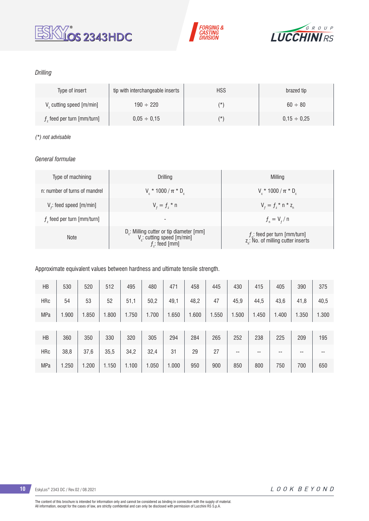





### *Drilling*

| Type of insert               | tip with interchangeable inserts | <b>HSS</b> | brazed tip       |
|------------------------------|----------------------------------|------------|------------------|
| V cutting speed [m/min]      | $190 \div 220$                   | (*)        | $60 \div 80$     |
| $fz$ feed per turn [mm/turn] | $0.05 \div 0.15$                 | $(\star)$  | $0.15 \div 0.25$ |

#### *(\*) not advisable*

### *General formulae*

| Type of machining             | Drilling                                                                                                 | Milling                                                                           |
|-------------------------------|----------------------------------------------------------------------------------------------------------|-----------------------------------------------------------------------------------|
| n: number of turns of mandrel | $V_c * 1000 / \pi * D_c$                                                                                 | $V_r * 1000 / \pi * D_r$                                                          |
| $Vf$ : feed speed [m/min]     | $V_{f} = f_{7}$ * n                                                                                      | $V_{f} = f_{7}$ * n * z <sub>n</sub>                                              |
| $fz$ feed per turn [mm/turn]  |                                                                                                          | $f_{n} = V_{f} / n$                                                               |
| <b>Note</b>                   | $D_c$ : Milling cutter or tip diameter [mm]<br>V <sub>c</sub> : cutting speed [m/min]<br>$f$ ; feed [mm] | $f_n$ : feed per turn [mm/turn]<br>z <sub>a</sub> : No. of milling cutter inserts |

Approximate equivalent values between hardness and ultimate tensile strength.

| HB         | 530   | 520   | 512   | 495   | 480   | 471   | 458   | 445   | 430   | 415   | 405   | 390   | 375   |
|------------|-------|-------|-------|-------|-------|-------|-------|-------|-------|-------|-------|-------|-------|
| <b>HRc</b> | 54    | 53    | 52    | 51,1  | 50,2  | 49,1  | 48,2  | 47    | 45,9  | 44,5  | 43,6  | 41,8  | 40,5  |
| <b>MPa</b> | 1.900 | 1.850 | .800  | 1.750 | 1.700 | 1.650 | 1.600 | 1.550 | 1.500 | 1.450 | 1.400 | 1.350 | 1.300 |
|            |       |       |       |       |       |       |       |       |       |       |       |       |       |
| HB         | 360   | 350   | 330   | 320   | 305   | 294   | 284   | 265   | 252   | 238   | 225   | 209   | 195   |
| <b>HRc</b> | 38,8  | 37,6  | 35,5  | 34,2  | 32,4  | 31    | 29    | 27    | $- -$ | --    | --    | $- -$ | --    |
| <b>MPa</b> | 1.250 | 1.200 | 1.150 | 1.100 | 1.050 | 1.000 | 950   | 900   | 850   | 800   | 750   | 700   | 650   |